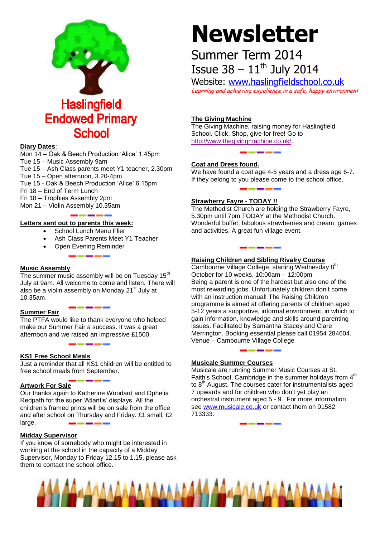

# **Diary Dates**:

Mon 14 – Oak & Beech Production 'Alice' 1.45pm

- Tue 15 Music Assembly 9am
- Tue 15 Ash Class parents meet Y1 teacher, 2.30pm
- Tue 15 Open afternoon, 3.20-4pm
- Tue 15 Oak & Beech Production 'Alice' 6.15pm
- Fri 18 End of Term Lunch
- Fri 18 Trophies Assembly 2pm
- Mon 21 Violin Assembly 10.35am

**Letters sent out to parents this week:**

- School Lunch Menu Flier
- Ash Class Parents Meet Y1 Teacher
- Open Evening Reminder

# **Music Assembly**

The summer music assembly will be on Tuesday  $15<sup>th</sup>$ July at 9am. All welcome to come and listen. There will also be a violin assembly on Monday 21<sup>st</sup> July at 10.35am.

# **Summer Fair**

The PTFA would like to thank everyone who helped make our Summer Fair a success. It was a great afternoon and we raised an impressive £1500.

# **KS1 Free School Meals**

Just a reminder that all KS1 children will be entitled to free school meals from September.

#### **Artwork For Sale**

Our thanks again to Katherine Woodard and Ophelia Redpath for the super 'Atlantis' displays. All the children's framed prints will be on sale from the office and after school on Thursday and Friday. £1 small, £2 large.

# **Midday Supervisor**

If you know of somebody who might be interested in working at the school in the capacity of a Midday Supervisor, Monday to Friday 12.15 to 1.15, please ask them to contact the school office.

# **Newsletter**

# Summer Term 2014 Issue  $38 - 11^{\text{th}}$  July 2014

Website: [www.haslingfieldschool.co.uk](http://www.haslingfieldschool.co.uk/) Learning and achieving excellence in a safe, happy environment

# **The Giving Machine**

The Giving Machine, raising money for Haslingfield School. Click, Shop, give for free! Go to [http://www.thegivingmachine.co.uk/.](http://www.thegivingmachine.co.uk/)

# **Coat and Dress found.**

We have found a coat age 4-5 years and a dress age 6-7. If they belong to you please come to the school office.

# **Strawberry Fayre - TODAY !!**

The Methodist Church are holding the Strawberry Fayre, 5.30pm until 7pm TODAY at the Methodist Church. Wonderful buffet, fabulous strawberries and cream, games and activities. A great fun village event.

# **Raising Children and Sibling Rivalry Course**

Cambourne Village College, starting Wednesday 8<sup>th</sup> October for 10 weeks, 10:00am – 12:00pm Being a parent is one of the hardest but also one of the most rewarding jobs. Unfortunately children don't come with an instruction manual! The Raising Children programme is aimed at offering parents of children aged 5-12 years a supportive, informal environment, in which to gain information, knowledge and skills around parenting issues. Facilitated by Samantha Stacey and Clare Merrington. Booking essential please call 01954 284604. Venue – Cambourne Village College

# **Musicale Summer Courses**

Musicale are running Summer Music Courses at St. Faith's School, Cambridge in the summer holidays from 4<sup>th</sup> to 8<sup>th</sup> August. The courses cater for instrumentalists aged 7 upwards and for children who don't yet play an orchestral instrument aged 5 - 9. For more information see [www.musicale.co.uk](http://www.musicale.co.uk/) or contact them on 01582 713333.